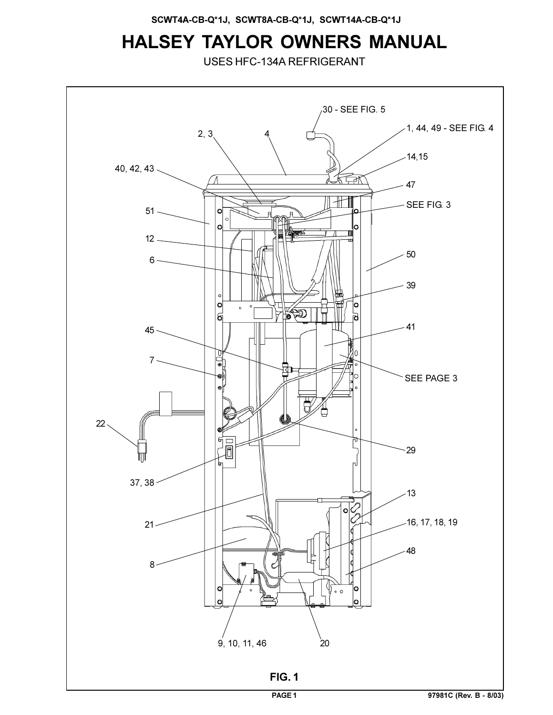# **HALSEY TAYLOR OWNERS MANUAL**

USES HFC-134A REFRIGERANT

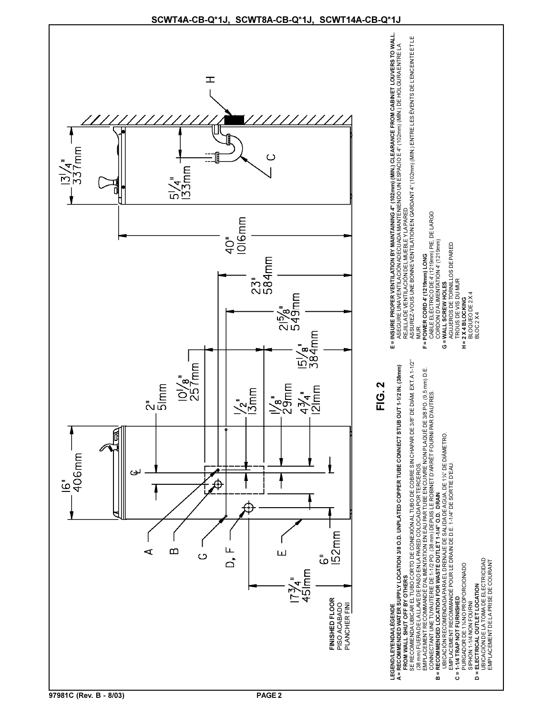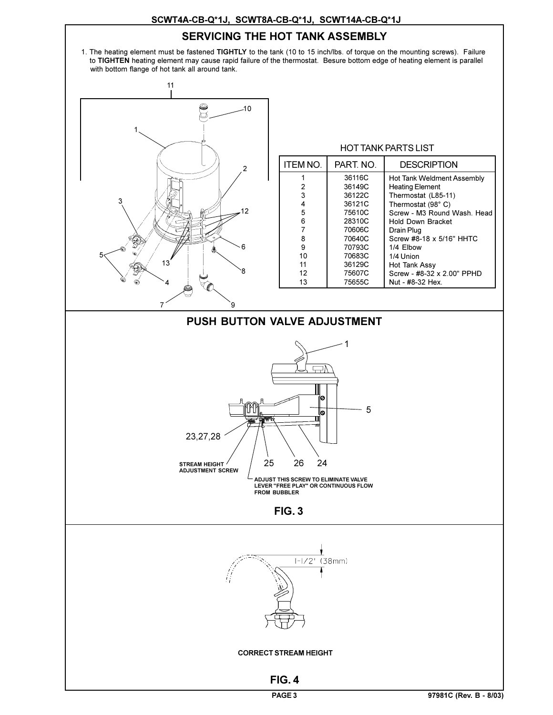### **SCWT4A-CB-Q\*1J, SCWT8A-CB-Q\*1J, SCWT14A-CB-Q\*1J**

## **SERVICING THE HOT TANK ASSEMBLY**

1. The heating element must be fastened **TIGHTLY** to the tank (10 to 15 inch/lbs. of torque on the mounting screws). Failure to **TIGHTEN** heating element may cause rapid failure of the thermostat. Besure bottom edge of heating element is parallel with bottom flange of hot tank all around tank.